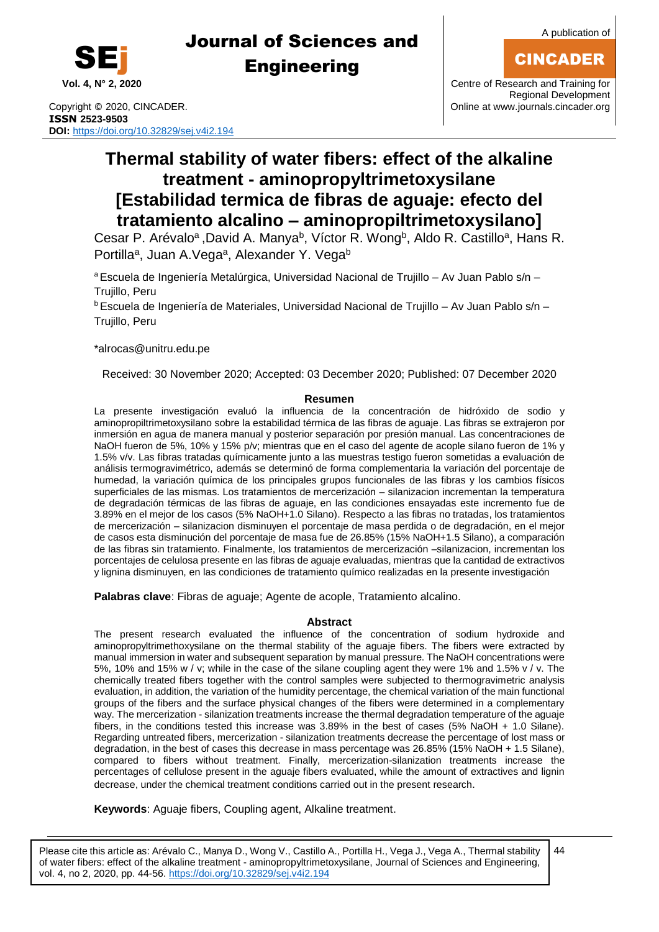

CINCADER



# Journal of Sciences and **Engineering**

Copyright © 2020, CINCADER. COME CONSERVERSITY CONFIDENT RANGEMENT CONFIDENT RANGEMENT CONFIDENT RANGEMENT CON **ISSN 2523-9503 DOI:** <https://doi.org/10.32829/sej.v4i2.194>

Regional Development

# **Thermal stability of water fibers: effect of the alkaline treatment - aminopropyltrimetoxysilane [Estabilidad termica de fibras de aguaje: efecto del tratamiento alcalino – aminopropiltrimetoxysilano]**

Cesar P. Arévalo<sup>a</sup>, David A. Manya<sup>b</sup>, Víctor R. Wong<sup>b</sup>, Aldo R. Castillo<sup>a</sup>, Hans R. Portilla<sup>a</sup>, Juan A.Vega<sup>a</sup>, Alexander Y. Vega<sup>b</sup>

<sup>a</sup> Escuela de Ingeniería Metalúrgica, Universidad Nacional de Trujillo – Av Juan Pablo s/n – Trujillo, Peru

<sup>b</sup>Escuela de Ingeniería de Materiales, Universidad Nacional de Trujillo – Av Juan Pablo s/n – Trujillo, Peru

\*alroca[s@unitru.edu.pe](mailto:samu@uom.lk)

Received: 30 November 2020; Accepted: 03 December 2020; Published: 07 December 2020

### **Resumen**

La presente investigación evaluó la influencia de la concentración de hidróxido de sodio y aminopropiltrimetoxysilano sobre la estabilidad térmica de las fibras de aguaje. Las fibras se extrajeron por inmersión en agua de manera manual y posterior separación por presión manual. Las concentraciones de NaOH fueron de 5%, 10% y 15% p/v; mientras que en el caso del agente de acople silano fueron de 1% y 1.5% v/v. Las fibras tratadas químicamente junto a las muestras testigo fueron sometidas a evaluación de análisis termogravimétrico, además se determinó de forma complementaria la variación del porcentaje de humedad, la variación química de los principales grupos funcionales de las fibras y los cambios físicos superficiales de las mismas. Los tratamientos de mercerización – silanizacion incrementan la temperatura de degradación térmicas de las fibras de aguaje, en las condiciones ensayadas este incremento fue de 3.89% en el mejor de los casos (5% NaOH+1.0 Silano). Respecto a las fibras no tratadas, los tratamientos de mercerización – silanizacion disminuyen el porcentaje de masa perdida o de degradación, en el mejor de casos esta disminución del porcentaje de masa fue de 26.85% (15% NaOH+1.5 Silano), a comparación de las fibras sin tratamiento. Finalmente, los tratamientos de mercerización –silanizacion, incrementan los porcentajes de celulosa presente en las fibras de aguaje evaluadas, mientras que la cantidad de extractivos y lignina disminuyen, en las condiciones de tratamiento químico realizadas en la presente investigación

**Palabras clave**: Fibras de aguaje; Agente de acople, Tratamiento alcalino.

### **Abstract**

The present research evaluated the influence of the concentration of sodium hydroxide and aminopropyltrimethoxysilane on the thermal stability of the aguaje fibers. The fibers were extracted by manual immersion in water and subsequent separation by manual pressure. The NaOH concentrations were 5%, 10% and 15% w / v; while in the case of the silane coupling agent they were 1% and 1.5% v / v. The chemically treated fibers together with the control samples were subjected to thermogravimetric analysis evaluation, in addition, the variation of the humidity percentage, the chemical variation of the main functional groups of the fibers and the surface physical changes of the fibers were determined in a complementary way. The mercerization - silanization treatments increase the thermal degradation temperature of the aguaje fibers, in the conditions tested this increase was 3.89% in the best of cases (5% NaOH + 1.0 Silane). Regarding untreated fibers, mercerization - silanization treatments decrease the percentage of lost mass or degradation, in the best of cases this decrease in mass percentage was 26.85% (15% NaOH + 1.5 Silane), compared to fibers without treatment. Finally, mercerization-silanization treatments increase the percentages of cellulose present in the aguaje fibers evaluated, while the amount of extractives and lignin decrease, under the chemical treatment conditions carried out in the present research.

**Keywords**: Aguaje fibers, Coupling agent, Alkaline treatment.

Please cite this article as: Arévalo C., Manya D., Wong V., Castillo A., Portilla H., Vega J., Vega A., Thermal stability of water fibers: effect of the alkaline treatment - aminopropyltrimetoxysilane, Journal of Sciences and Engineering, vol. 4, no 2, 2020, pp. 44-56. <https://doi.org/10.32829/sej.v4i2.194>

44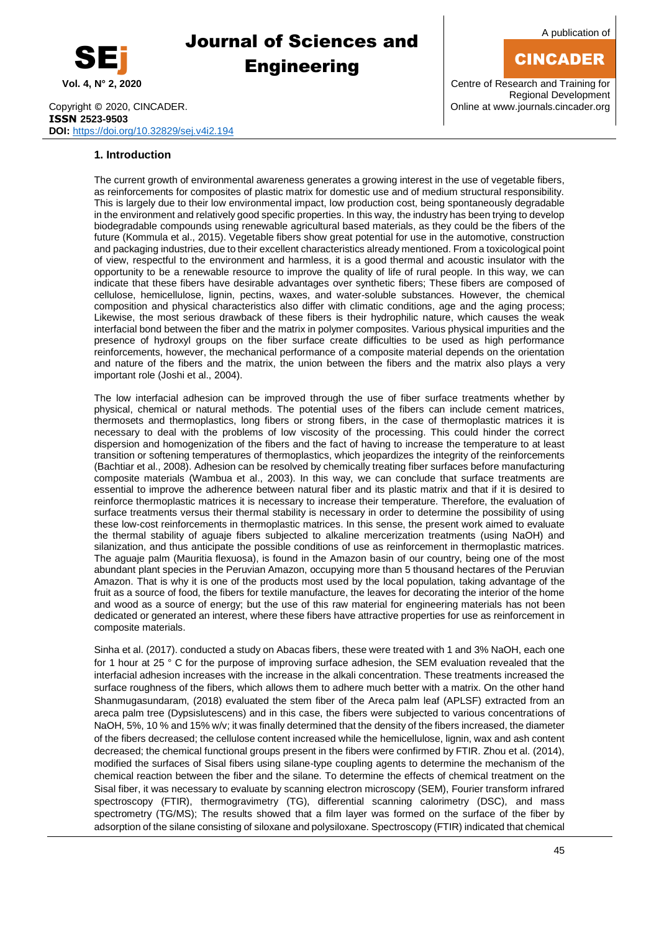

A publication of

## CINCADER

**Vol. 4, N° 2, 2020** Centre of Research and Training for Regional Development

Copyright © 2020, CINCADER. COME CONSERVERSITY CONFIDENT RANGEMENT CONFIDENT RANGEMENT CONFIDENT RANGEMENT CON **ISSN 2523-9503 DOI:** <https://doi.org/10.32829/sej.v4i2.194>

### **1. Introduction**

The current growth of environmental awareness generates a growing interest in the use of vegetable fibers, as reinforcements for composites of plastic matrix for domestic use and of medium structural responsibility. This is largely due to their low environmental impact, low production cost, being spontaneously degradable in the environment and relatively good specific properties. In this way, the industry has been trying to develop biodegradable compounds using renewable agricultural based materials, as they could be the fibers of the future (Kommula et al., 2015). Vegetable fibers show great potential for use in the automotive, construction and packaging industries, due to their excellent characteristics already mentioned. From a toxicological point of view, respectful to the environment and harmless, it is a good thermal and acoustic insulator with the opportunity to be a renewable resource to improve the quality of life of rural people. In this way, we can indicate that these fibers have desirable advantages over synthetic fibers; These fibers are composed of cellulose, hemicellulose, lignin, pectins, waxes, and water-soluble substances. However, the chemical composition and physical characteristics also differ with climatic conditions, age and the aging process; Likewise, the most serious drawback of these fibers is their hydrophilic nature, which causes the weak interfacial bond between the fiber and the matrix in polymer composites. Various physical impurities and the presence of hydroxyl groups on the fiber surface create difficulties to be used as high performance reinforcements, however, the mechanical performance of a composite material depends on the orientation and nature of the fibers and the matrix, the union between the fibers and the matrix also plays a very important role (Joshi et al., 2004).

The low interfacial adhesion can be improved through the use of fiber surface treatments whether by physical, chemical or natural methods. The potential uses of the fibers can include cement matrices, thermosets and thermoplastics, long fibers or strong fibers, in the case of thermoplastic matrices it is necessary to deal with the problems of low viscosity of the processing. This could hinder the correct dispersion and homogenization of the fibers and the fact of having to increase the temperature to at least transition or softening temperatures of thermoplastics, which jeopardizes the integrity of the reinforcements (Bachtiar et al., 2008). Adhesion can be resolved by chemically treating fiber surfaces before manufacturing composite materials (Wambua et al., 2003). In this way, we can conclude that surface treatments are essential to improve the adherence between natural fiber and its plastic matrix and that if it is desired to reinforce thermoplastic matrices it is necessary to increase their temperature. Therefore, the evaluation of surface treatments versus their thermal stability is necessary in order to determine the possibility of using these low-cost reinforcements in thermoplastic matrices. In this sense, the present work aimed to evaluate the thermal stability of aguaje fibers subjected to alkaline mercerization treatments (using NaOH) and silanization, and thus anticipate the possible conditions of use as reinforcement in thermoplastic matrices. The aguaje palm (Mauritia flexuosa), is found in the Amazon basin of our country, being one of the most abundant plant species in the Peruvian Amazon, occupying more than 5 thousand hectares of the Peruvian Amazon. That is why it is one of the products most used by the local population, taking advantage of the fruit as a source of food, the fibers for textile manufacture, the leaves for decorating the interior of the home and wood as a source of energy; but the use of this raw material for engineering materials has not been dedicated or generated an interest, where these fibers have attractive properties for use as reinforcement in composite materials.

Sinha et al. (2017). conducted a study on Abacas fibers, these were treated with 1 and 3% NaOH, each one for 1 hour at 25 ° C for the purpose of improving surface adhesion, the SEM evaluation revealed that the interfacial adhesion increases with the increase in the alkali concentration. These treatments increased the surface roughness of the fibers, which allows them to adhere much better with a matrix. On the other hand Shanmugasundaram, (2018) evaluated the stem fiber of the Areca palm leaf (APLSF) extracted from an areca palm tree (Dypsislutescens) and in this case, the fibers were subjected to various concentrations of NaOH, 5%, 10 % and 15% w/v; it was finally determined that the density of the fibers increased, the diameter of the fibers decreased; the cellulose content increased while the hemicellulose, lignin, wax and ash content decreased; the chemical functional groups present in the fibers were confirmed by FTIR. Zhou et al. (2014), modified the surfaces of Sisal fibers using silane-type coupling agents to determine the mechanism of the chemical reaction between the fiber and the silane. To determine the effects of chemical treatment on the Sisal fiber, it was necessary to evaluate by scanning electron microscopy (SEM), Fourier transform infrared spectroscopy (FTIR), thermogravimetry (TG), differential scanning calorimetry (DSC), and mass spectrometry (TG/MS); The results showed that a film layer was formed on the surface of the fiber by adsorption of the silane consisting of siloxane and polysiloxane. Spectroscopy (FTIR) indicated that chemical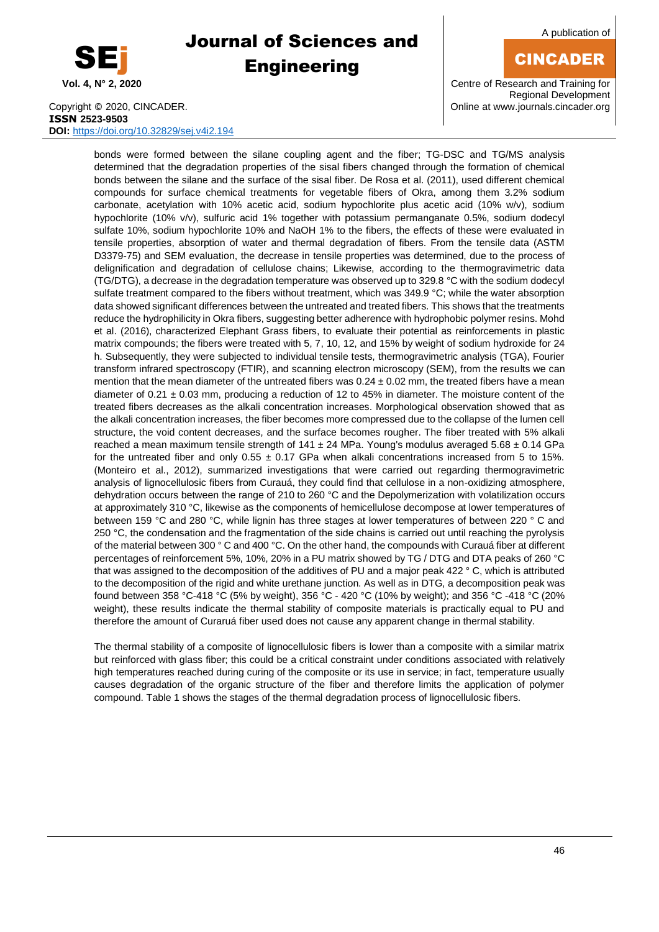

A publication of

## CINCADER

**Vol. 4, N° 2, 2020** Centre of Research and Training for Regional Development

Copyright © 2020, CINCADER. COME CONSERVERSITY CONFIDENTIAL CONSERVERSITY Online a[t www.journals.cincader.org](http://www.journals.cincader.org/) **ISSN 2523-9503 DOI:** <https://doi.org/10.32829/sej.v4i2.194>

bonds were formed between the silane coupling agent and the fiber; TG-DSC and TG/MS analysis determined that the degradation properties of the sisal fibers changed through the formation of chemical bonds between the silane and the surface of the sisal fiber. De Rosa et al. (2011), used different chemical compounds for surface chemical treatments for vegetable fibers of Okra, among them 3.2% sodium carbonate, acetylation with 10% acetic acid, sodium hypochlorite plus acetic acid (10% w/v), sodium hypochlorite (10% v/v), sulfuric acid 1% together with potassium permanganate 0.5%, sodium dodecyl sulfate 10%, sodium hypochlorite 10% and NaOH 1% to the fibers, the effects of these were evaluated in tensile properties, absorption of water and thermal degradation of fibers. From the tensile data (ASTM D3379-75) and SEM evaluation, the decrease in tensile properties was determined, due to the process of delignification and degradation of cellulose chains; Likewise, according to the thermogravimetric data (TG/DTG), a decrease in the degradation temperature was observed up to 329.8 °C with the sodium dodecyl sulfate treatment compared to the fibers without treatment, which was 349.9 °C; while the water absorption data showed significant differences between the untreated and treated fibers. This shows that the treatments reduce the hydrophilicity in Okra fibers, suggesting better adherence with hydrophobic polymer resins. Mohd et al. (2016), characterized Elephant Grass fibers, to evaluate their potential as reinforcements in plastic matrix compounds; the fibers were treated with 5, 7, 10, 12, and 15% by weight of sodium hydroxide for 24 h. Subsequently, they were subjected to individual tensile tests, thermogravimetric analysis (TGA), Fourier transform infrared spectroscopy (FTIR), and scanning electron microscopy (SEM), from the results we can mention that the mean diameter of the untreated fibers was  $0.24 \pm 0.02$  mm, the treated fibers have a mean diameter of  $0.21 \pm 0.03$  mm, producing a reduction of 12 to 45% in diameter. The moisture content of the treated fibers decreases as the alkali concentration increases. Morphological observation showed that as the alkali concentration increases, the fiber becomes more compressed due to the collapse of the lumen cell structure, the void content decreases, and the surface becomes rougher. The fiber treated with 5% alkali reached a mean maximum tensile strength of  $141 \pm 24$  MPa. Young's modulus averaged  $5.68 \pm 0.14$  GPa for the untreated fiber and only  $0.55 \pm 0.17$  GPa when alkali concentrations increased from 5 to 15%. (Monteiro et al., 2012), summarized investigations that were carried out regarding thermogravimetric analysis of lignocellulosic fibers from Curauá, they could find that cellulose in a non-oxidizing atmosphere, dehydration occurs between the range of 210 to 260 °C and the Depolymerization with volatilization occurs at approximately 310 °C, likewise as the components of hemicellulose decompose at lower temperatures of between 159 °C and 280 °C, while lignin has three stages at lower temperatures of between 220 ° C and 250 °C, the condensation and the fragmentation of the side chains is carried out until reaching the pyrolysis of the material between 300 ° C and 400 °C. On the other hand, the compounds with Curauá fiber at different percentages of reinforcement 5%, 10%, 20% in a PU matrix showed by TG / DTG and DTA peaks of 260 °C that was assigned to the decomposition of the additives of PU and a major peak 422 ° C, which is attributed to the decomposition of the rigid and white urethane junction. As well as in DTG, a decomposition peak was found between 358 °C-418 °C (5% by weight), 356 °C - 420 °C (10% by weight); and 356 °C -418 °C (20% weight), these results indicate the thermal stability of composite materials is practically equal to PU and therefore the amount of Curaruá fiber used does not cause any apparent change in thermal stability.

The thermal stability of a composite of lignocellulosic fibers is lower than a composite with a similar matrix but reinforced with glass fiber; this could be a critical constraint under conditions associated with relatively high temperatures reached during curing of the composite or its use in service; in fact, temperature usually causes degradation of the organic structure of the fiber and therefore limits the application of polymer compound. Table 1 shows the stages of the thermal degradation process of lignocellulosic fibers.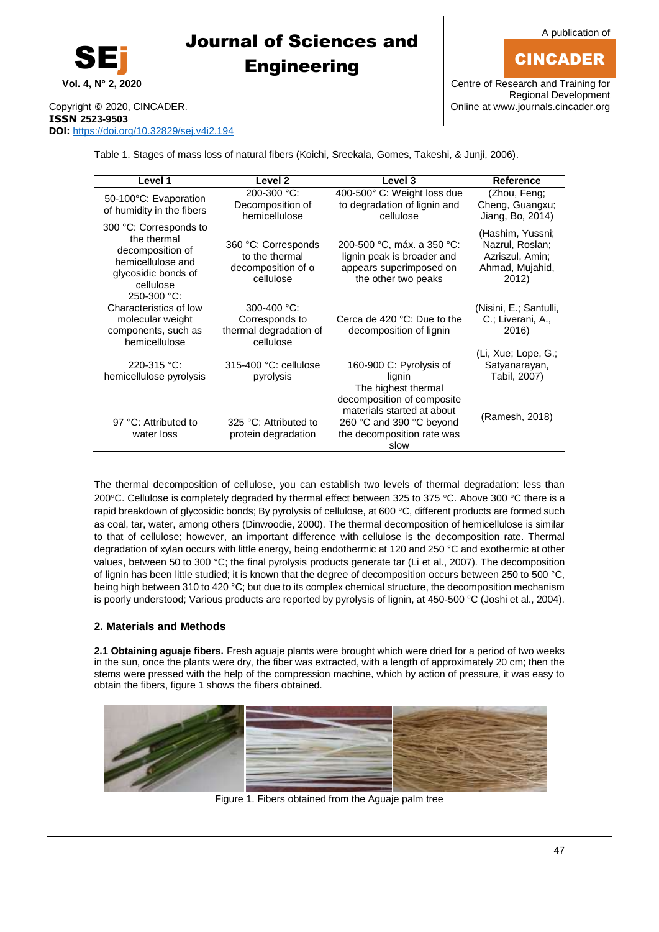

A publication of

## CINCADER

**Vol. 4, N° 2, 2020** Centre of Research and Training for Regional Development

Copyright © 2020, CINCADER. COME CONSERVERSITY CONFIDENTIAL CONSERVERSITY Online a[t www.journals.cincader.org](http://www.journals.cincader.org/) **ISSN 2523-9503 DOI:** <https://doi.org/10.32829/sej.v4i2.194>

Table 1. Stages of mass loss of natural fibers (Koichi, Sreekala, Gomes, Takeshi, & Junji, 2006).

| Level 1                                                                                                                           | Level <sub>2</sub>                                                              | Level 3                                                                                                                    | <b>Reference</b>                                                                   |
|-----------------------------------------------------------------------------------------------------------------------------------|---------------------------------------------------------------------------------|----------------------------------------------------------------------------------------------------------------------------|------------------------------------------------------------------------------------|
| 50-100°C: Evaporation<br>of humidity in the fibers                                                                                | 200-300 °C:<br>Decomposition of<br>hemicellulose                                | 400-500° C: Weight loss due<br>to degradation of lignin and<br>cellulose                                                   | (Zhou, Feng;<br>Cheng, Guangxu;<br>Jiang, Bo, 2014)                                |
| 300 °C: Corresponds to<br>the thermal<br>decomposition of<br>hemicellulose and<br>glycosidic bonds of<br>cellulose<br>250-300 °C: | 360 °C: Corresponds<br>to the thermal<br>decomposition of $\alpha$<br>cellulose | 200-500 °C, máx. a 350 °C:<br>lignin peak is broader and<br>appears superimposed on<br>the other two peaks                 | (Hashim, Yussni;<br>Nazrul, Roslan;<br>Azriszul, Amin;<br>Ahmad, Mujahid,<br>2012) |
| Characteristics of low<br>molecular weight<br>components, such as<br>hemicellulose                                                | 300-400 °C:<br>Corresponds to<br>thermal degradation of<br>cellulose            | Cerca de 420 °C: Due to the<br>decomposition of lignin                                                                     | (Nisini, E.; Santulli,<br>C.; Liverani, A.,<br>2016)                               |
| $220 - 315 °C$ :<br>hemicellulose pyrolysis                                                                                       | $315-400$ °C: cellulose<br>pyrolysis                                            | 160-900 C: Pyrolysis of<br>lignin<br>The highest thermal                                                                   | (Li, Xue; Lope, G.;<br>Satyanarayan,<br>Tabil, 2007)                               |
| 97 °C: Attributed to<br>water loss                                                                                                | 325 °C: Attributed to<br>protein degradation                                    | decomposition of composite<br>materials started at about<br>260 °C and 390 °C beyond<br>the decomposition rate was<br>slow | (Ramesh, 2018)                                                                     |

The thermal decomposition of cellulose, you can establish two levels of thermal degradation: less than 200 $^{\circ}$ C. Cellulose is completely degraded by thermal effect between 325 to 375  $^{\circ}$ C. Above 300  $^{\circ}$ C there is a rapid breakdown of glycosidic bonds; By pyrolysis of cellulose, at 600 °C, different products are formed such as coal, tar, water, among others (Dinwoodie, 2000). The thermal decomposition of hemicellulose is similar to that of cellulose; however, an important difference with cellulose is the decomposition rate. Thermal degradation of xylan occurs with little energy, being endothermic at 120 and 250 °C and exothermic at other values, between 50 to 300 °C; the final pyrolysis products generate tar (Li et al., 2007). The decomposition of lignin has been little studied; it is known that the degree of decomposition occurs between 250 to 500 °C, being high between 310 to 420 °C; but due to its complex chemical structure, the decomposition mechanism is poorly understood; Various products are reported by pyrolysis of lignin, at 450-500 °C (Joshi et al., 2004).

### **2. Materials and Methods**

**2.1 Obtaining aguaje fibers.** Fresh aguaje plants were brought which were dried for a period of two weeks in the sun, once the plants were dry, the fiber was extracted, with a length of approximately 20 cm; then the stems were pressed with the help of the compression machine, which by action of pressure, it was easy to obtain the fibers, figure 1 shows the fibers obtained.



Figure 1. Fibers obtained from the Aguaje palm tree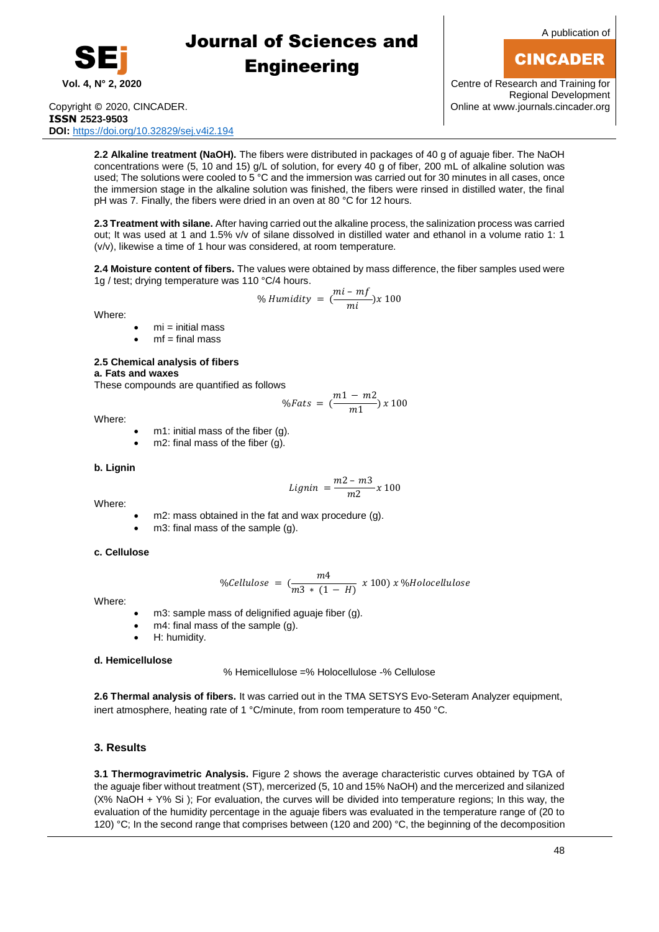

A publication of

## CINCADER

**Vol. 4, N° 2, 2020** Centre of Research and Training for Regional Development

Copyright © 2020, CINCADER. COME CONSERVERSITY CONFIDENTIAL CONSERVERSITY Online a[t www.journals.cincader.org](http://www.journals.cincader.org/) **ISSN 2523-9503 DOI:** <https://doi.org/10.32829/sej.v4i2.194>

**2.2 Alkaline treatment (NaOH).** The fibers were distributed in packages of 40 g of aguaje fiber. The NaOH concentrations were (5, 10 and 15) g/L of solution, for every 40 g of fiber, 200 mL of alkaline solution was used; The solutions were cooled to 5 °C and the immersion was carried out for 30 minutes in all cases, once the immersion stage in the alkaline solution was finished, the fibers were rinsed in distilled water, the final pH was 7. Finally, the fibers were dried in an oven at 80 °C for 12 hours.

**2.3 Treatment with silane.** After having carried out the alkaline process, the salinization process was carried out; It was used at 1 and 1.5% v/v of silane dissolved in distilled water and ethanol in a volume ratio 1: 1 (v/v), likewise a time of 1 hour was considered, at room temperature.

**2.4 Moisture content of fibers.** The values were obtained by mass difference, the fiber samples used were 1g / test; drying temperature was 110 °C/4 hours.

% *Humidity* = 
$$
\left(\frac{mi - mf}{mi}\right)x 100
$$

Where:

- $mi = initial mass$
- $mf = final mass$

### **2.5 Chemical analysis of fibers**

**a. Fats and waxes**

These compounds are quantified as follows

$$
\%Fats = \left(\frac{m1 - m2}{m1}\right)x\,100
$$

Where:

- m1: initial mass of the fiber (g).
- m2: final mass of the fiber (g).

### **b. Lignin**

Where:

 $Lignin = \frac{m2 - m3}{m^2}$  $\frac{1}{m^2}$  x 100

- m2: mass obtained in the fat and wax procedure (g).
- m3: final mass of the sample (g).

### **c. Cellulose**

$$
\%Cellulose = \left(\frac{m4}{m3*(1-H)} \times 100\right) \times \% Holocellulose
$$

Where:

- m3: sample mass of delignified aguaje fiber (g).
- m4: final mass of the sample (g).
- H: humidity.

### **d. Hemicellulose**

% Hemicellulose =% Holocellulose -% Cellulose

**2.6 Thermal analysis of fibers.** It was carried out in the TMA SETSYS Evo-Seteram Analyzer equipment, inert atmosphere, heating rate of 1 °C/minute, from room temperature to 450 °C.

### **3. Results**

**3.1 Thermogravimetric Analysis.** Figure 2 shows the average characteristic curves obtained by TGA of the aguaje fiber without treatment (ST), mercerized (5, 10 and 15% NaOH) and the mercerized and silanized (X% NaOH + Y% Si ); For evaluation, the curves will be divided into temperature regions; In this way, the evaluation of the humidity percentage in the aguaje fibers was evaluated in the temperature range of (20 to 120) °C; In the second range that comprises between (120 and 200) °C, the beginning of the decomposition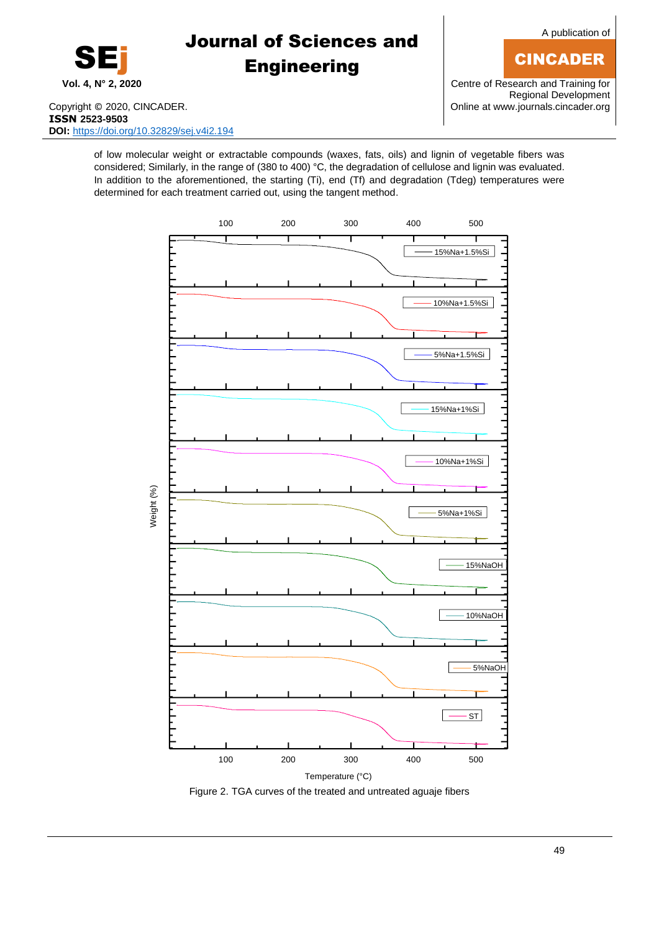

**Vol. 4, N° 2, 2020** Centre of Research and Training for Regional Development

Copyright © 2020, CINCADER. COPYRIGHT COPYRIGHT COPYRIGHT COPYRIGHT COPYRIGHT COPYRIGHT COPYRIGHT COPYRIGHT COPYRIGHT COPYRIGHT COPYRIGHT COPYRIGHT COPYRIGHT COPYRIGHT COPYRIGHT COPYRIGHT COPYRIGHT COPYRIGHT COPYRIGHT COPY **ISSN 2523-9503 DOI:** <https://doi.org/10.32829/sej.v4i2.194>

SEj

of low molecular weight or extractable compounds (waxes, fats, oils) and lignin of vegetable fibers was considered; Similarly, in the range of (380 to 400) °C, the degradation of cellulose and lignin was evaluated. In addition to the aforementioned, the starting (Ti), end (Tf) and degradation (Tdeg) temperatures were determined for each treatment carried out, using the tangent method.

Journal of Sciences and

**Engineering** 



## CINCADER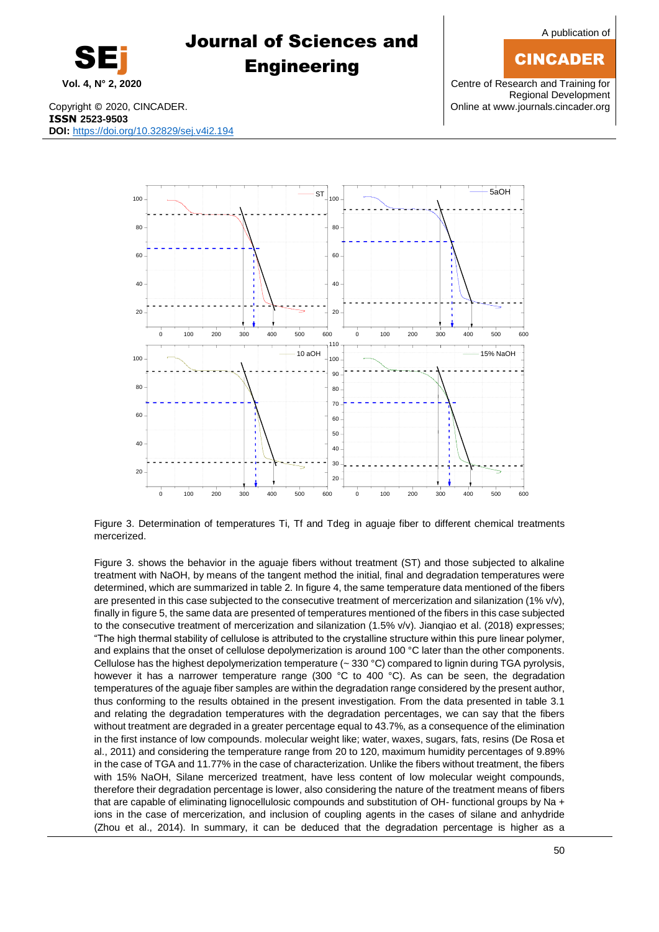50

A publication of

## CINCADER

**Vol. 4, N° 2, 2020** Centre of Research and Training for Regional Development

# Journal of Sciences and **Engineering**



SEj



Figure 3. Determination of temperatures Ti, Tf and Tdeg in aguaje fiber to different chemical treatments mercerized.

Figure 3. shows the behavior in the aguaje fibers without treatment (ST) and those subjected to alkaline treatment with NaOH, by means of the tangent method the initial, final and degradation temperatures were determined, which are summarized in table 2. In figure 4, the same temperature data mentioned of the fibers are presented in this case subjected to the consecutive treatment of mercerization and silanization (1% v/v), finally in figure 5, the same data are presented of temperatures mentioned of the fibers in this case subjected to the consecutive treatment of mercerization and silanization (1.5% v/v). Jianqiao et al. (2018) expresses; "The high thermal stability of cellulose is attributed to the crystalline structure within this pure linear polymer, and explains that the onset of cellulose depolymerization is around 100 °C later than the other components. Cellulose has the highest depolymerization temperature (~ 330 °C) compared to lignin during TGA pyrolysis, however it has a narrower temperature range (300 °C to 400 °C). As can be seen, the degradation temperatures of the aguaje fiber samples are within the degradation range considered by the present author, thus conforming to the results obtained in the present investigation. From the data presented in table 3.1 and relating the degradation temperatures with the degradation percentages, we can say that the fibers without treatment are degraded in a greater percentage equal to 43.7%, as a consequence of the elimination in the first instance of low compounds. molecular weight like; water, waxes, sugars, fats, resins (De Rosa et al., 2011) and considering the temperature range from 20 to 120, maximum humidity percentages of 9.89% in the case of TGA and 11.77% in the case of characterization. Unlike the fibers without treatment, the fibers with 15% NaOH, Silane mercerized treatment, have less content of low molecular weight compounds, therefore their degradation percentage is lower, also considering the nature of the treatment means of fibers that are capable of eliminating lignocellulosic compounds and substitution of OH- functional groups by Na + ions in the case of mercerization, and inclusion of coupling agents in the cases of silane and anhydride (Zhou et al., 2014). In summary, it can be deduced that the degradation percentage is higher as a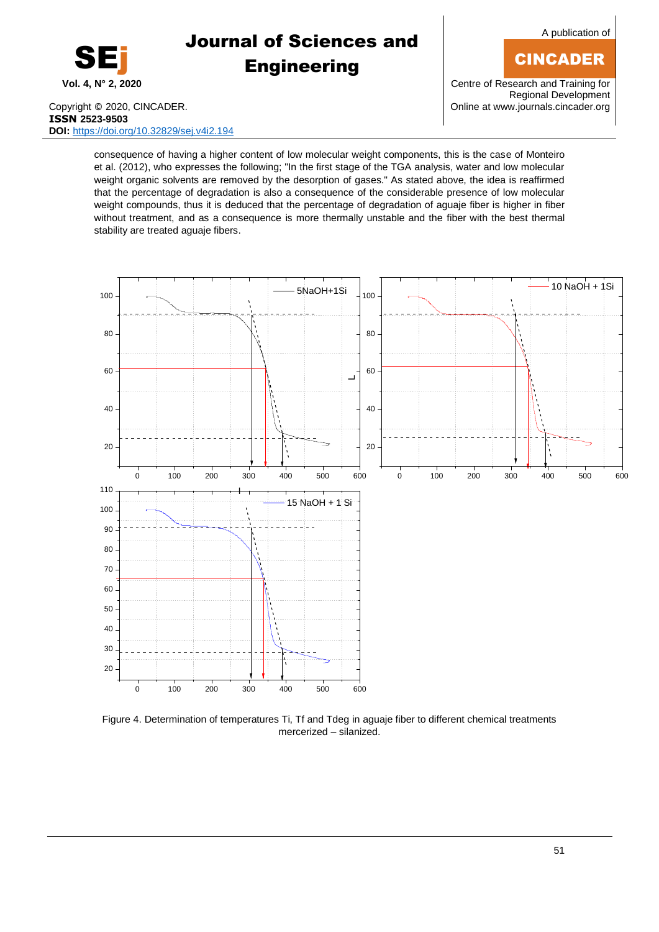

A publication of

## CINCADER

**Vol. 4, N° 2, 2020** Centre of Research and Training for Regional Development

Copyright © 2020, CINCADER. COME CONSERVERSITY CONFIDENTIAL CONTRACT CONSERVERSITY Online a[t www.journals.cincader.org](http://www.journals.cincader.org/) **ISSN 2523-9503 DOI:** <https://doi.org/10.32829/sej.v4i2.194>

consequence of having a higher content of low molecular weight components, this is the case of Monteiro et al. (2012), who expresses the following; "In the first stage of the TGA analysis, water and low molecular weight organic solvents are removed by the desorption of gases." As stated above, the idea is reaffirmed that the percentage of degradation is also a consequence of the considerable presence of low molecular weight compounds, thus it is deduced that the percentage of degradation of aguaje fiber is higher in fiber without treatment, and as a consequence is more thermally unstable and the fiber with the best thermal stability are treated aguaje fibers.



Figure 4. Determination of temperatures Ti, Tf and Tdeg in aguaje fiber to different chemical treatments mercerized – silanized.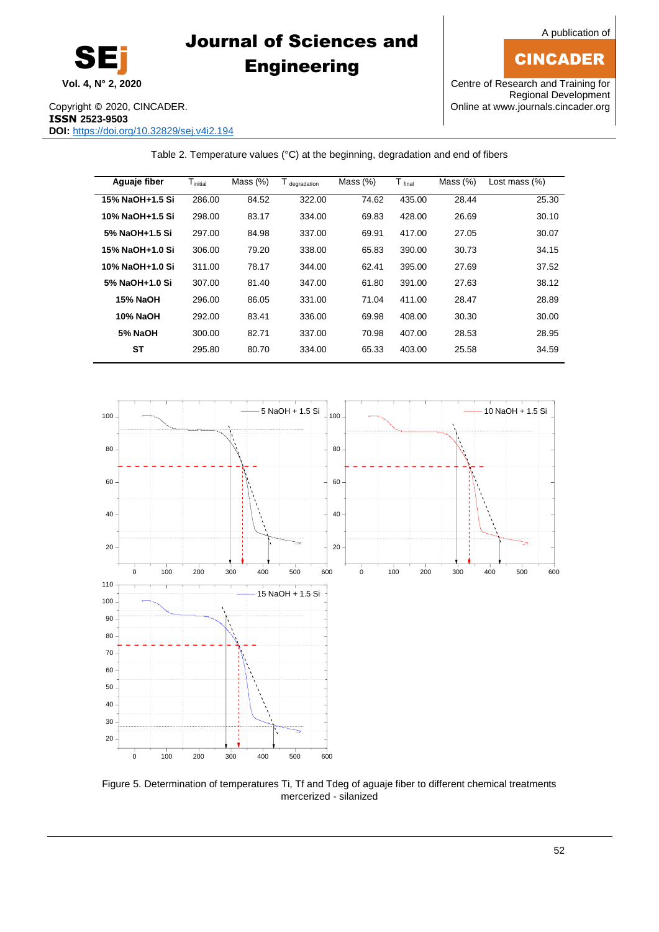CINCADER



# Journal of Sciences and **Engineering**

### **Vol. 4, N° 2, 2020** Centre of Research and Training for Regional Development

Copyright © 2020, CINCADER. COPYRIGHT COPYRIGHT COPYRIGHT COPYRIGHT COPYRIGHT COPYRIGHT COPYRIGHT COPYRIGHT COPYRIGHT COPYRIGHT COPYRIGHT COPYRIGHT COPYRIGHT COPYRIGHT COPYRIGHT COPYRIGHT COPYRIGHT COPYRIGHT COPYRIGHT COPY **ISSN 2523-9503 DOI:** <https://doi.org/10.32829/sej.v4i2.194>

Table 2. Temperature values (°C) at the beginning, degradation and end of fibers

| Aguaje fiber    | $T_{initial}$ | Mass $(\%)$ | T degradation | Mass $(\%)$ | $T_{final}$ | Mass $(\%)$ | Lost mass $(\%)$ |
|-----------------|---------------|-------------|---------------|-------------|-------------|-------------|------------------|
| 15% NaOH+1.5 Si | 286.00        | 84.52       | 322.00        | 74.62       | 435.00      | 28.44       | 25.30            |
| 10% NaOH+1.5 Si | 298.00        | 83.17       | 334.00        | 69.83       | 428.00      | 26.69       | 30.10            |
| 5% NaOH+1.5 Si  | 297.00        | 84.98       | 337.00        | 69.91       | 417.00      | 27.05       | 30.07            |
| 15% NaOH+1.0 Si | 306.00        | 79.20       | 338.00        | 65.83       | 390.00      | 30.73       | 34.15            |
| 10% NaOH+1.0 Si | 311.00        | 78.17       | 344.00        | 62.41       | 395.00      | 27.69       | 37.52            |
| 5% NaOH+1.0 Si  | 307.00        | 81.40       | 347.00        | 61.80       | 391.00      | 27.63       | 38.12            |
| <b>15% NaOH</b> | 296.00        | 86.05       | 331.00        | 71.04       | 411.00      | 28.47       | 28.89            |
| 10% NaOH        | 292.00        | 83.41       | 336.00        | 69.98       | 408.00      | 30.30       | 30.00            |
| 5% NaOH         | 300.00        | 82.71       | 337.00        | 70.98       | 407.00      | 28.53       | 28.95            |
| SΤ              | 295.80        | 80.70       | 334.00        | 65.33       | 403.00      | 25.58       | 34.59            |
|                 |               |             |               |             |             |             |                  |



Figure 5. Determination of temperatures Ti, Tf and Tdeg of aguaje fiber to different chemical treatments mercerized - silanized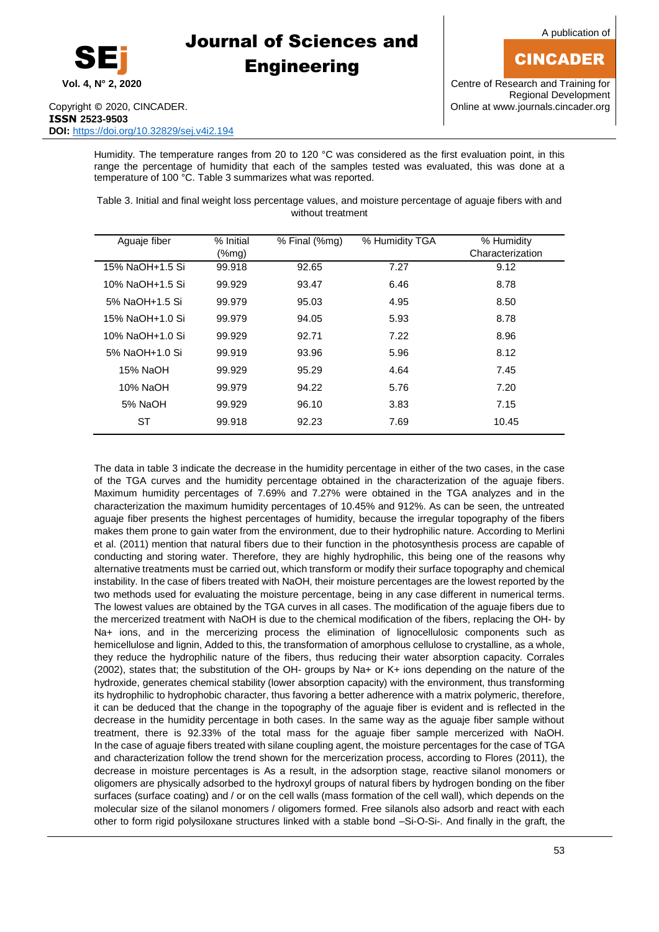

A publication of

## CINCADER

**Vol. 4, N° 2, 2020** Centre of Research and Training for Regional Development

Humidity. The temperature ranges from 20 to 120 °C was considered as the first evaluation point, in this range the percentage of humidity that each of the samples tested was evaluated, this was done at a temperature of 100 °C. Table 3 summarizes what was reported.

Table 3. Initial and final weight loss percentage values, and moisture percentage of aguaje fibers with and without treatment

| Aguaje fiber    | % Initial<br>(%mg) | % Final (%mg) | % Humidity TGA | % Humidity<br>Characterization |
|-----------------|--------------------|---------------|----------------|--------------------------------|
| 15% NaOH+1.5 Si | 99.918             | 92.65         | 7.27           | 9.12                           |
| 10% NaOH+1.5 Si | 99.929             | 93.47         | 6.46           | 8.78                           |
| 5% NaOH+1.5 Si  | 99.979             | 95.03         | 4.95           | 8.50                           |
| 15% NaOH+1.0 Si | 99.979             | 94.05         | 5.93           | 8.78                           |
| 10% NaOH+1.0 Si | 99.929             | 92.71         | 7.22           | 8.96                           |
| 5% NaOH+1.0 Si  | 99.919             | 93.96         | 5.96           | 8.12                           |
| 15% NaOH        | 99.929             | 95.29         | 4.64           | 7.45                           |
| 10% NaOH        | 99.979             | 94.22         | 5.76           | 7.20                           |
| 5% NaOH         | 99.929             | 96.10         | 3.83           | 7.15                           |
| ST              | 99.918             | 92.23         | 7.69           | 10.45                          |

The data in table 3 indicate the decrease in the humidity percentage in either of the two cases, in the case of the TGA curves and the humidity percentage obtained in the characterization of the aguaje fibers. Maximum humidity percentages of 7.69% and 7.27% were obtained in the TGA analyzes and in the characterization the maximum humidity percentages of 10.45% and 912%. As can be seen, the untreated aguaje fiber presents the highest percentages of humidity, because the irregular topography of the fibers makes them prone to gain water from the environment, due to their hydrophilic nature. According to Merlini et al. (2011) mention that natural fibers due to their function in the photosynthesis process are capable of conducting and storing water. Therefore, they are highly hydrophilic, this being one of the reasons why alternative treatments must be carried out, which transform or modify their surface topography and chemical instability. In the case of fibers treated with NaOH, their moisture percentages are the lowest reported by the two methods used for evaluating the moisture percentage, being in any case different in numerical terms. The lowest values are obtained by the TGA curves in all cases. The modification of the aguaje fibers due to the mercerized treatment with NaOH is due to the chemical modification of the fibers, replacing the OH- by Na+ ions, and in the mercerizing process the elimination of lignocellulosic components such as hemicellulose and lignin, Added to this, the transformation of amorphous cellulose to crystalline, as a whole, they reduce the hydrophilic nature of the fibers, thus reducing their water absorption capacity. Corrales (2002), states that; the substitution of the OH- groups by Na+ or K+ ions depending on the nature of the hydroxide, generates chemical stability (lower absorption capacity) with the environment, thus transforming its hydrophilic to hydrophobic character, thus favoring a better adherence with a matrix polymeric, therefore, it can be deduced that the change in the topography of the aguaje fiber is evident and is reflected in the decrease in the humidity percentage in both cases. In the same way as the aguaje fiber sample without treatment, there is 92.33% of the total mass for the aguaje fiber sample mercerized with NaOH. In the case of aguaje fibers treated with silane coupling agent, the moisture percentages for the case of TGA and characterization follow the trend shown for the mercerization process, according to Flores (2011), the decrease in moisture percentages is As a result, in the adsorption stage, reactive silanol monomers or oligomers are physically adsorbed to the hydroxyl groups of natural fibers by hydrogen bonding on the fiber surfaces (surface coating) and / or on the cell walls (mass formation of the cell wall), which depends on the molecular size of the silanol monomers / oligomers formed. Free silanols also adsorb and react with each other to form rigid polysiloxane structures linked with a stable bond –Si-O-Si-. And finally in the graft, the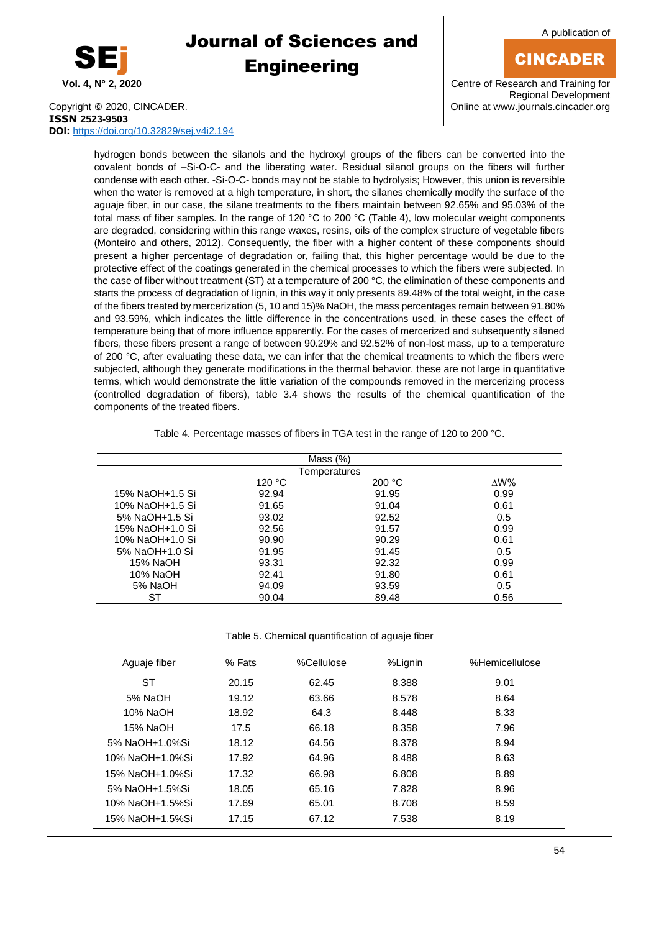

A publication of

## CINCADER

**Vol. 4, N° 2, 2020** Centre of Research and Training for Regional Development

Copyright © 2020, CINCADER. COME CONSERVERSITY CONFIDENTIAL CONSERVERSITY Online a[t www.journals.cincader.org](http://www.journals.cincader.org/) **ISSN 2523-9503 DOI:** <https://doi.org/10.32829/sej.v4i2.194>

hydrogen bonds between the silanols and the hydroxyl groups of the fibers can be converted into the covalent bonds of –Si-O-C- and the liberating water. Residual silanol groups on the fibers will further condense with each other. -Si-O-C- bonds may not be stable to hydrolysis; However, this union is reversible when the water is removed at a high temperature, in short, the silanes chemically modify the surface of the aguaje fiber, in our case, the silane treatments to the fibers maintain between 92.65% and 95.03% of the total mass of fiber samples. In the range of 120 °C to 200 °C (Table 4), low molecular weight components are degraded, considering within this range waxes, resins, oils of the complex structure of vegetable fibers (Monteiro and others, 2012). Consequently, the fiber with a higher content of these components should present a higher percentage of degradation or, failing that, this higher percentage would be due to the protective effect of the coatings generated in the chemical processes to which the fibers were subjected. In the case of fiber without treatment (ST) at a temperature of 200 °C, the elimination of these components and starts the process of degradation of lignin, in this way it only presents 89.48% of the total weight, in the case of the fibers treated by mercerization (5, 10 and 15)% NaOH, the mass percentages remain between 91.80% and 93.59%, which indicates the little difference in the concentrations used, in these cases the effect of temperature being that of more influence apparently. For the cases of mercerized and subsequently silaned fibers, these fibers present a range of between 90.29% and 92.52% of non-lost mass, up to a temperature of 200 °C, after evaluating these data, we can infer that the chemical treatments to which the fibers were subjected, although they generate modifications in the thermal behavior, these are not large in quantitative terms, which would demonstrate the little variation of the compounds removed in the mercerizing process (controlled degradation of fibers), table 3.4 shows the results of the chemical quantification of the components of the treated fibers.

Table 4. Percentage masses of fibers in TGA test in the range of 120 to 200 °C.

|                 |        | Mass $(\%)$  |                 |
|-----------------|--------|--------------|-----------------|
|                 |        | Temperatures |                 |
|                 | 120 °C | 200 °C       | $\triangle W\%$ |
| 15% NaOH+1.5 Si | 92.94  | 91.95        | 0.99            |
| 10% NaOH+1.5 Si | 91.65  | 91.04        | 0.61            |
| 5% NaOH+1.5 Si  | 93.02  | 92.52        | 0.5             |
| 15% NaOH+1.0 Si | 92.56  | 91.57        | 0.99            |
| 10% NaOH+1.0 Si | 90.90  | 90.29        | 0.61            |
| 5% NaOH+1.0 Si  | 91.95  | 91.45        | 0.5             |
| 15% NaOH        | 93.31  | 92.32        | 0.99            |
| 10% NaOH        | 92.41  | 91.80        | 0.61            |
| 5% NaOH         | 94.09  | 93.59        | 0.5             |
| SТ              | 90.04  | 89.48        | 0.56            |

Table 5. Chemical quantification of aguaje fiber

| Aguaje fiber    | % Fats | %Cellulose | %Lignin | %Hemicellulose |
|-----------------|--------|------------|---------|----------------|
| SТ              | 20.15  | 62.45      | 8.388   | 9.01           |
| 5% NaOH         | 19.12  | 63.66      | 8.578   | 8.64           |
| 10% NaOH        | 18.92  | 64.3       | 8.448   | 8.33           |
| 15% NaOH        | 17.5   | 66.18      | 8.358   | 7.96           |
| 5% NaOH+1.0%Si  | 18.12  | 64.56      | 8.378   | 8.94           |
| 10% NaOH+1.0%Si | 17.92  | 64.96      | 8.488   | 8.63           |
| 15% NaOH+1.0%Si | 17.32  | 66.98      | 6.808   | 8.89           |
| 5% NaOH+1.5%Si  | 18.05  | 65.16      | 7.828   | 8.96           |
| 10% NaOH+1.5%Si | 17.69  | 65.01      | 8.708   | 8.59           |
| 15% NaOH+1.5%Si | 17.15  | 67.12      | 7.538   | 8.19           |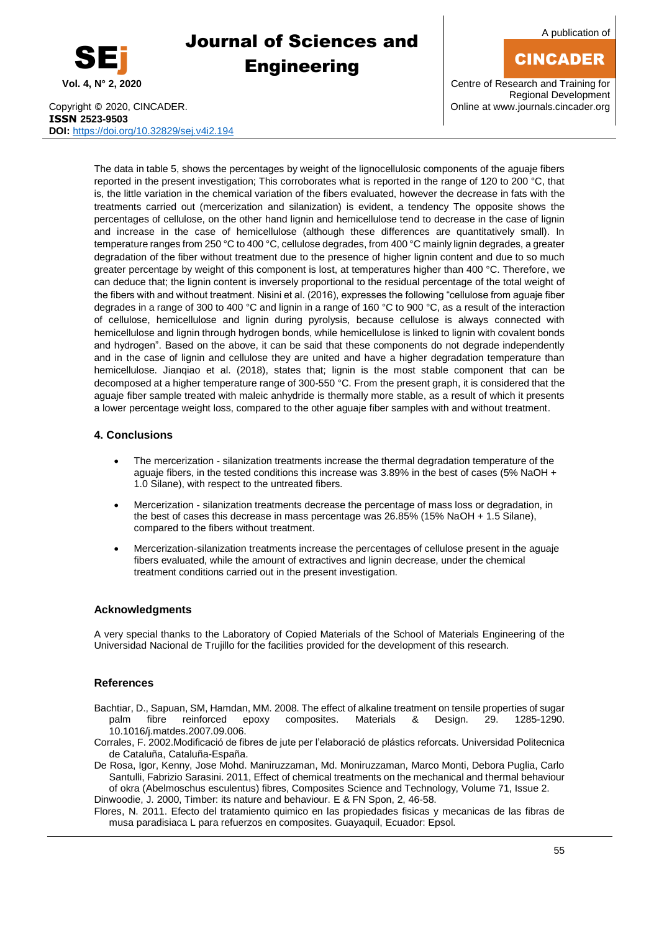

A publication of

## CINCADER

**Vol. 4, N° 2, 2020** Centre of Research and Training for Regional Development

Copyright © 2020, CINCADER. COME CONSERVERSITY CONFIDENTIAL CONSERVERSITY Online a[t www.journals.cincader.org](http://www.journals.cincader.org/) **ISSN 2523-9503 DOI:** <https://doi.org/10.32829/sej.v4i2.194>

The data in table 5, shows the percentages by weight of the lignocellulosic components of the aguaje fibers reported in the present investigation; This corroborates what is reported in the range of 120 to 200 °C, that is, the little variation in the chemical variation of the fibers evaluated, however the decrease in fats with the treatments carried out (mercerization and silanization) is evident, a tendency The opposite shows the percentages of cellulose, on the other hand lignin and hemicellulose tend to decrease in the case of lignin and increase in the case of hemicellulose (although these differences are quantitatively small). In temperature ranges from 250 °C to 400 °C, cellulose degrades, from 400 °C mainly lignin degrades, a greater degradation of the fiber without treatment due to the presence of higher lignin content and due to so much greater percentage by weight of this component is lost, at temperatures higher than 400 °C. Therefore, we can deduce that; the lignin content is inversely proportional to the residual percentage of the total weight of the fibers with and without treatment. Nisini et al. (2016), expresses the following "cellulose from aguaje fiber degrades in a range of 300 to 400 °C and lignin in a range of 160 °C to 900 °C, as a result of the interaction of cellulose, hemicellulose and lignin during pyrolysis, because cellulose is always connected with hemicellulose and lignin through hydrogen bonds, while hemicellulose is linked to lignin with covalent bonds and hydrogen". Based on the above, it can be said that these components do not degrade independently and in the case of lignin and cellulose they are united and have a higher degradation temperature than hemicellulose. Jianqiao et al. (2018), states that; lignin is the most stable component that can be decomposed at a higher temperature range of 300-550 °C. From the present graph, it is considered that the aguaje fiber sample treated with maleic anhydride is thermally more stable, as a result of which it presents a lower percentage weight loss, compared to the other aguaje fiber samples with and without treatment.

### **4. Conclusions**

- The mercerization silanization treatments increase the thermal degradation temperature of the aguaje fibers, in the tested conditions this increase was 3.89% in the best of cases (5% NaOH + 1.0 Silane), with respect to the untreated fibers.
- Mercerization silanization treatments decrease the percentage of mass loss or degradation, in the best of cases this decrease in mass percentage was 26.85% (15% NaOH + 1.5 Silane), compared to the fibers without treatment.
- Mercerization-silanization treatments increase the percentages of cellulose present in the aguaje fibers evaluated, while the amount of extractives and lignin decrease, under the chemical treatment conditions carried out in the present investigation.

### **Acknowledgments**

A very special thanks to the Laboratory of Copied Materials of the School of Materials Engineering of the Universidad Nacional de Trujillo for the facilities provided for the development of this research.

### **References**

- Bachtiar, D., Sapuan, SM, Hamdan, MM. 2008. The effect of alkaline treatment on tensile properties of sugar palm fibre reinforced epoxy composites. Materials & Design. 29. 1285-1290. 10.1016/j.matdes.2007.09.006.
- Corrales, F. 2002.Modificació de fibres de jute per l'elaboració de plástics reforcats. Universidad Politecnica de Cataluña, Cataluña-España.

De Rosa, Igor, Kenny, Jose Mohd. Maniruzzaman, Md. Moniruzzaman, Marco Monti, Debora Puglia, Carlo Santulli, Fabrizio Sarasini. 2011, Effect of chemical treatments on the mechanical and thermal behaviour of okra (Abelmoschus esculentus) fibres, Composites Science and Technology, Volume 71, Issue 2. Dinwoodie, J. 2000, Timber: its nature and behaviour. E & FN Spon, 2, 46-58.

Flores, N. 2011. Efecto del tratamiento quimico en las propiedades fisicas y mecanicas de las fibras de musa paradisiaca L para refuerzos en composites. Guayaquil, Ecuador: Epsol.